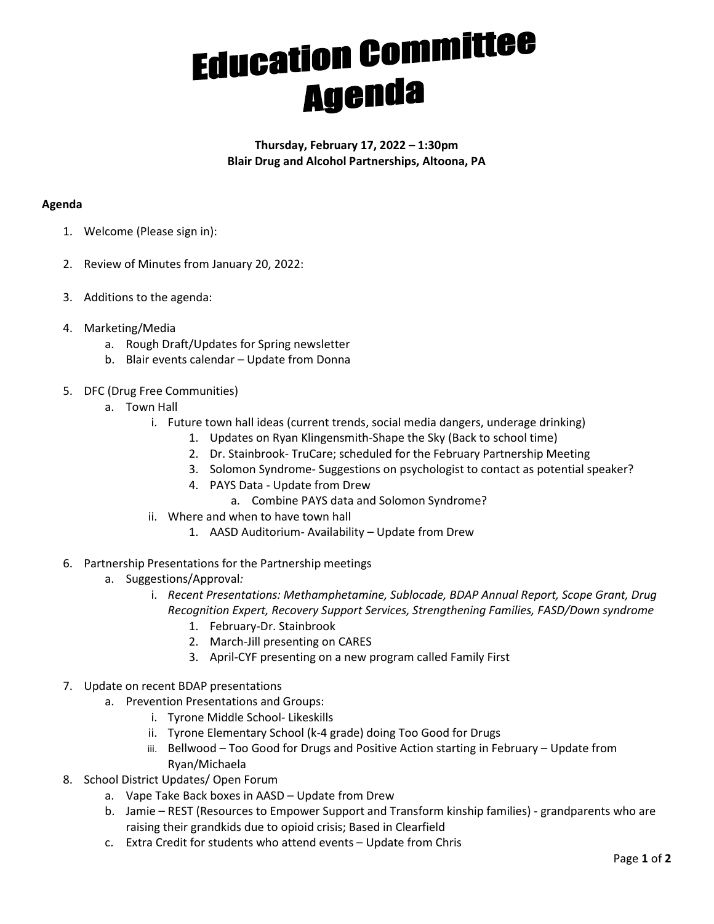## **Education Committee**

Thursday, February 17, 2022 – 1:30pm Blair Drug and Alcohol Partnerships, Altoona, PA

## Agenda

- 1. Welcome (Please sign in):
- 2. Review of Minutes from January 20, 2022:
- 3. Additions to the agenda:
- 4. Marketing/Media
	- a. Rough Draft/Updates for Spring newsletter
	- b. Blair events calendar Update from Donna
- 5. DFC (Drug Free Communities)
	- a. Town Hall
		- i. Future town hall ideas (current trends, social media dangers, underage drinking)
			- 1. Updates on Ryan Klingensmith-Shape the Sky (Back to school time)
			- 2. Dr. Stainbrook- TruCare; scheduled for the February Partnership Meeting
			- 3. Solomon Syndrome- Suggestions on psychologist to contact as potential speaker?
			- 4. PAYS Data Update from Drew
				- a. Combine PAYS data and Solomon Syndrome?
		- ii. Where and when to have town hall
			- 1. AASD Auditorium- Availability Update from Drew
- 6. Partnership Presentations for the Partnership meetings
	- a. Suggestions/Approval:
		- i. Recent Presentations: Methamphetamine, Sublocade, BDAP Annual Report, Scope Grant, Drug Recognition Expert, Recovery Support Services, Strengthening Families, FASD/Down syndrome
			- 1. February-Dr. Stainbrook
			- 2. March-Jill presenting on CARES
			- 3. April-CYF presenting on a new program called Family First
- 7. Update on recent BDAP presentations
	- a. Prevention Presentations and Groups:
		- i. Tyrone Middle School- Likeskills
		- ii. Tyrone Elementary School (k-4 grade) doing Too Good for Drugs
		- iii. Bellwood Too Good for Drugs and Positive Action starting in February Update from Ryan/Michaela
- 8. School District Updates/ Open Forum
	- a. Vape Take Back boxes in AASD Update from Drew
	- b. Jamie REST (Resources to Empower Support and Transform kinship families) grandparents who are raising their grandkids due to opioid crisis; Based in Clearfield
	- c. Extra Credit for students who attend events Update from Chris